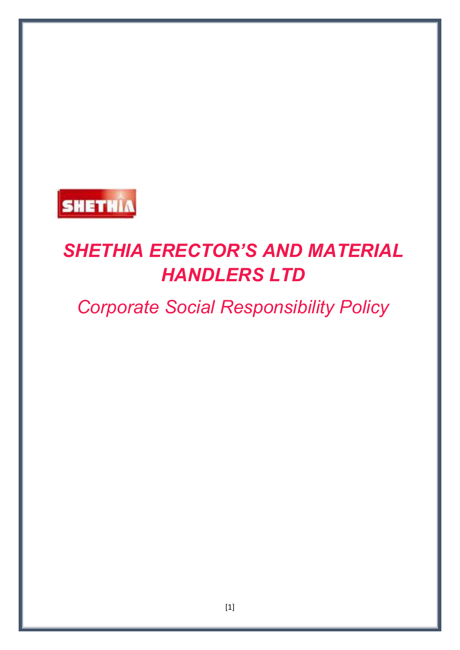

# *SHETHIA ERECTOR'S AND MATERIAL HANDLERS LTD*

# *Corporate Social Responsibility Policy*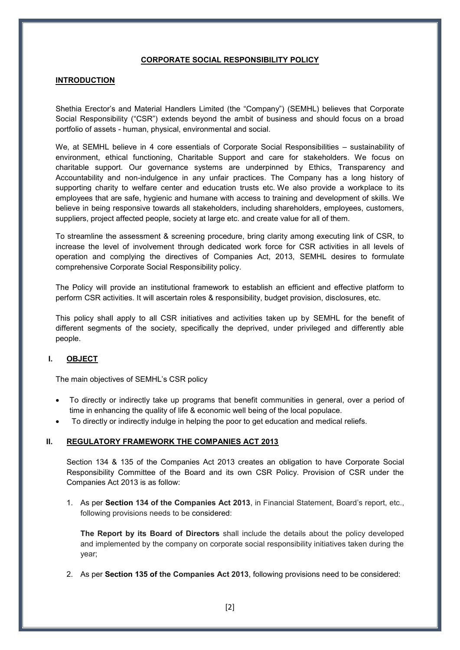#### **CORPORATE SOCIAL RESPONSIBILITY POLICY**

#### **INTRODUCTION**

Shethia Erector's and Material Handlers Limited (the "Company") (SEMHL) believes that Corporate Social Responsibility ("CSR") extends beyond the ambit of business and should focus on a broad portfolio of assets - human, physical, environmental and social.

We, at SEMHL believe in 4 core essentials of Corporate Social Responsibilities – sustainability of environment, ethical functioning, Charitable Support and care for stakeholders. We focus on charitable support. Our governance systems are underpinned by Ethics, Transparency and Accountability and non-indulgence in any unfair practices. The Company has a long history of supporting charity to welfare center and education trusts etc. We also provide a workplace to its employees that are safe, hygienic and humane with access to training and development of skills. We believe in being responsive towards all stakeholders, including shareholders, employees, customers, suppliers, project affected people, society at large etc. and create value for all of them.

To streamline the assessment & screening procedure, bring clarity among executing link of CSR, to increase the level of involvement through dedicated work force for CSR activities in all levels of operation and complying the directives of Companies Act, 2013, SEMHL desires to formulate comprehensive Corporate Social Responsibility policy.

The Policy will provide an institutional framework to establish an efficient and effective platform to perform CSR activities. It will ascertain roles & responsibility, budget provision, disclosures, etc.

This policy shall apply to all CSR initiatives and activities taken up by SEMHL for the benefit of different segments of the society, specifically the deprived, under privileged and differently able people.

#### **I. OBJECT**

The main objectives of SEMHL's CSR policy

- To directly or indirectly take up programs that benefit communities in general, over a period of time in enhancing the quality of life & economic well being of the local populace.
- To directly or indirectly indulge in helping the poor to get education and medical reliefs.

#### **II. REGULATORY FRAMEWORK THE COMPANIES ACT 2013**

Section 134 & 135 of the Companies Act 2013 creates an obligation to have Corporate Social Responsibility Committee of the Board and its own CSR Policy. Provision of CSR under the Companies Act 2013 is as follow:

1. As per **Section 134 of the Companies Act 2013**, in Financial Statement, Board's report, etc., following provisions needs to be considered:

**The Report by its Board of Directors** shall include the details about the policy developed and implemented by the company on corporate social responsibility initiatives taken during the year;

2. As per **Section 135 of the Companies Act 2013**, following provisions need to be considered: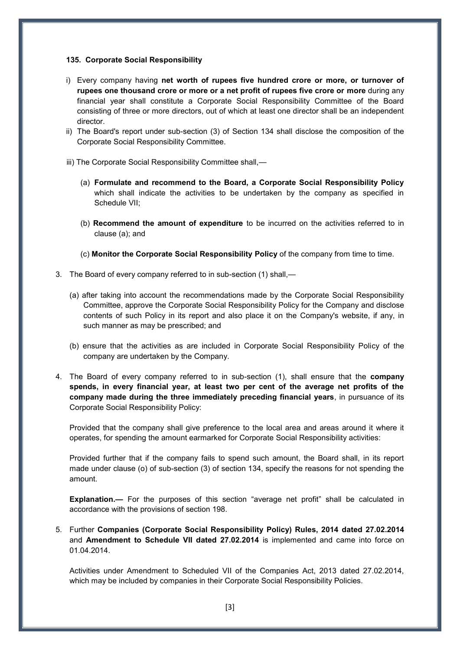#### **135. Corporate Social Responsibility**

- i) Every company having **net worth of rupees five hundred crore or more, or turnover of rupees one thousand crore or more or a net profit of rupees five crore or more** during any financial year shall constitute a Corporate Social Responsibility Committee of the Board consisting of three or more directors, out of which at least one director shall be an independent director.
- ii) The Board's report under sub-section (3) of Section 134 shall disclose the composition of the Corporate Social Responsibility Committee.
- iii) The Corporate Social Responsibility Committee shall,—
	- (a) **Formulate and recommend to the Board, a Corporate Social Responsibility Policy** which shall indicate the activities to be undertaken by the company as specified in Schedule VII;
	- (b) **Recommend the amount of expenditure** to be incurred on the activities referred to in clause (a); and
	- (c) **Monitor the Corporate Social Responsibility Policy** of the company from time to time.
- 3. The Board of every company referred to in sub-section (1) shall,—
	- (a) after taking into account the recommendations made by the Corporate Social Responsibility Committee, approve the Corporate Social Responsibility Policy for the Company and disclose contents of such Policy in its report and also place it on the Company's website, if any, in such manner as may be prescribed; and
	- (b) ensure that the activities as are included in Corporate Social Responsibility Policy of the company are undertaken by the Company.
- 4. The Board of every company referred to in sub-section (1), shall ensure that the **company spends, in every financial year, at least two per cent of the average net profits of the company made during the three immediately preceding financial years**, in pursuance of its Corporate Social Responsibility Policy:

Provided that the company shall give preference to the local area and areas around it where it operates, for spending the amount earmarked for Corporate Social Responsibility activities:

Provided further that if the company fails to spend such amount, the Board shall, in its report made under clause (o) of sub-section (3) of section 134, specify the reasons for not spending the amount.

**Explanation.—** For the purposes of this section "average net profit" shall be calculated in accordance with the provisions of section 198.

5. Further **Companies (Corporate Social Responsibility Policy) Rules, 2014 dated 27.02.2014** and **Amendment to Schedule VII dated 27.02.2014** is implemented and came into force on 01.04.2014.

Activities under Amendment to Scheduled VII of the Companies Act, 2013 dated 27.02.2014, which may be included by companies in their Corporate Social Responsibility Policies.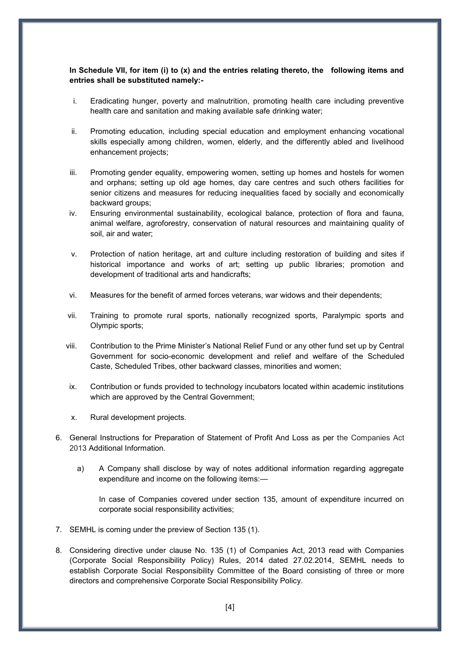# **In Schedule VII, for item (i) to (x) and the entries relating thereto, the following items and entries shall be substituted namely:-**

- i. Eradicating hunger, poverty and malnutrition, promoting health care including preventive health care and sanitation and making available safe drinking water;
- ii. Promoting education, including special education and employment enhancing vocational skills especially among children, women, elderly, and the differently abled and livelihood enhancement projects;
- iii. Promoting gender equality, empowering women, setting up homes and hostels for women and orphans; setting up old age homes, day care centres and such others facilities for senior citizens and measures for reducing inequalities faced by socially and economically backward groups;
- iv. Ensuring environmental sustainability, ecological balance, protection of flora and fauna, animal welfare, agroforestry, conservation of natural resources and maintaining quality of soil, air and water;
- v. Protection of nation heritage, art and culture including restoration of building and sites if historical importance and works of art; setting up public libraries; promotion and development of traditional arts and handicrafts;
- vi. Measures for the benefit of armed forces veterans, war widows and their dependents;
- vii. Training to promote rural sports, nationally recognized sports, Paralympic sports and Olympic sports;
- viii. Contribution to the Prime Minister's National Relief Fund or any other fund set up by Central Government for socio-economic development and relief and welfare of the Scheduled Caste, Scheduled Tribes, other backward classes, minorities and women;
- ix. Contribution or funds provided to technology incubators located within academic institutions which are approved by the Central Government;
- x. Rural development projects.
- 6. General Instructions for Preparation of Statement of Profit And Loss as per the Companies Act 2013 Additional Information.
	- a) A Company shall disclose by way of notes additional information regarding aggregate expenditure and income on the following items:—

In case of Companies covered under section 135, amount of expenditure incurred on corporate social responsibility activities;

- 7. SEMHL is coming under the preview of Section 135 (1).
- 8. Considering directive under clause No. 135 (1) of Companies Act, 2013 read with Companies (Corporate Social Responsibility Policy) Rules, 2014 dated 27.02.2014, SEMHL needs to establish Corporate Social Responsibility Committee of the Board consisting of three or more directors and comprehensive Corporate Social Responsibility Policy.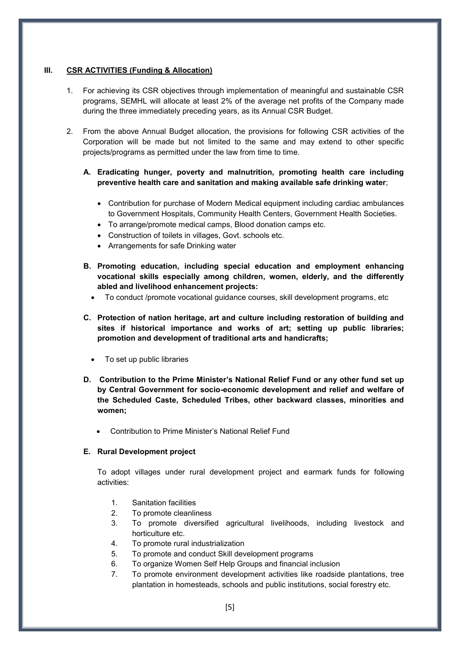#### **III. CSR ACTIVITIES (Funding & Allocation)**

- 1. For achieving its CSR objectives through implementation of meaningful and sustainable CSR programs, SEMHL will allocate at least 2% of the average net profits of the Company made during the three immediately preceding years, as its Annual CSR Budget.
- 2. From the above Annual Budget allocation, the provisions for following CSR activities of the Corporation will be made but not limited to the same and may extend to other specific projects/programs as permitted under the law from time to time.

# **A. Eradicating hunger, poverty and malnutrition, promoting health care including preventive health care and sanitation and making available safe drinking water**;

- Contribution for purchase of Modern Medical equipment including cardiac ambulances to Government Hospitals, Community Health Centers, Government Health Societies.
- To arrange/promote medical camps, Blood donation camps etc.
- Construction of toilets in villages, Govt. schools etc.
- Arrangements for safe Drinking water
- **B. Promoting education, including special education and employment enhancing vocational skills especially among children, women, elderly, and the differently abled and livelihood enhancement projects:** 
	- To conduct /promote vocational guidance courses, skill development programs, etc
- **C. Protection of nation heritage, art and culture including restoration of building and sites if historical importance and works of art; setting up public libraries; promotion and development of traditional arts and handicrafts;** 
	- To set up public libraries
- **D. Contribution to the Prime Minister's National Relief Fund or any other fund set up by Central Government for socio-economic development and relief and welfare of the Scheduled Caste, Scheduled Tribes, other backward classes, minorities and women;** 
	- Contribution to Prime Minister's National Relief Fund

# **E. Rural Development project**

To adopt villages under rural development project and earmark funds for following activities:

- 1. Sanitation facilities
- 2. To promote cleanliness
- 3. To promote diversified agricultural livelihoods, including livestock and horticulture etc.
- 4. To promote rural industrialization
- 5. To promote and conduct Skill development programs
- 6. To organize Women Self Help Groups and financial inclusion
- 7. To promote environment development activities like roadside plantations, tree plantation in homesteads, schools and public institutions, social forestry etc.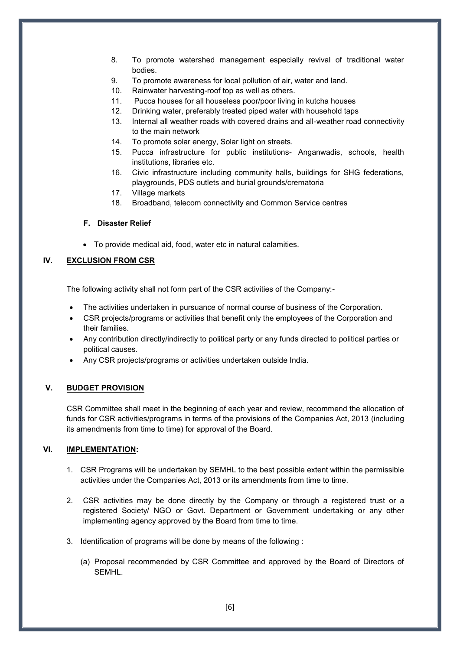- 8. To promote watershed management especially revival of traditional water bodies.
- 9. To promote awareness for local pollution of air, water and land.
- 10. Rainwater harvesting-roof top as well as others.
- 11. Pucca houses for all houseless poor/poor living in kutcha houses
- 12. Drinking water, preferably treated piped water with household taps
- 13. Internal all weather roads with covered drains and all-weather road connectivity to the main network
- 14. To promote solar energy, Solar light on streets.
- 15. Pucca infrastructure for public institutions- Anganwadis, schools, health institutions, libraries etc.
- 16. Civic infrastructure including community halls, buildings for SHG federations, playgrounds, PDS outlets and burial grounds/crematoria
- 17. Village markets
- 18. Broadband, telecom connectivity and Common Service centres

#### **F. Disaster Relief**

To provide medical aid, food, water etc in natural calamities.

# **IV. EXCLUSION FROM CSR**

The following activity shall not form part of the CSR activities of the Company:-

- The activities undertaken in pursuance of normal course of business of the Corporation.
- CSR projects/programs or activities that benefit only the employees of the Corporation and their families.
- Any contribution directly/indirectly to political party or any funds directed to political parties or political causes.
- Any CSR projects/programs or activities undertaken outside India.

#### **V. BUDGET PROVISION**

CSR Committee shall meet in the beginning of each year and review, recommend the allocation of funds for CSR activities/programs in terms of the provisions of the Companies Act, 2013 (including its amendments from time to time) for approval of the Board.

#### **VI. IMPLEMENTATION:**

- 1. CSR Programs will be undertaken by SEMHL to the best possible extent within the permissible activities under the Companies Act, 2013 or its amendments from time to time.
- 2. CSR activities may be done directly by the Company or through a registered trust or a registered Society/ NGO or Govt. Department or Government undertaking or any other implementing agency approved by the Board from time to time.
- 3. Identification of programs will be done by means of the following :
	- (a) Proposal recommended by CSR Committee and approved by the Board of Directors of **SEMHL.**